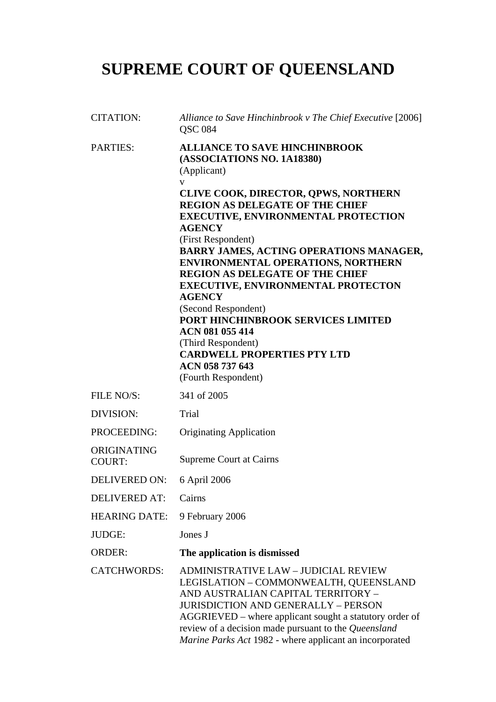# **SUPREME COURT OF QUEENSLAND**

| <b>CITATION:</b>             | Alliance to Save Hinchinbrook v The Chief Executive [2006]<br><b>QSC 084</b>                                                                                                                                                                                                                                                                                                                                                                                                                                                                                                                                                                        |
|------------------------------|-----------------------------------------------------------------------------------------------------------------------------------------------------------------------------------------------------------------------------------------------------------------------------------------------------------------------------------------------------------------------------------------------------------------------------------------------------------------------------------------------------------------------------------------------------------------------------------------------------------------------------------------------------|
| <b>PARTIES:</b>              | <b>ALLIANCE TO SAVE HINCHINBROOK</b><br>(ASSOCIATIONS NO. 1A18380)<br>(Applicant)<br>V<br>CLIVE COOK, DIRECTOR, QPWS, NORTHERN<br><b>REGION AS DELEGATE OF THE CHIEF</b><br><b>EXECUTIVE, ENVIRONMENTAL PROTECTION</b><br><b>AGENCY</b><br>(First Respondent)<br>BARRY JAMES, ACTING OPERATIONS MANAGER,<br><b>ENVIRONMENTAL OPERATIONS, NORTHERN</b><br><b>REGION AS DELEGATE OF THE CHIEF</b><br><b>EXECUTIVE, ENVIRONMENTAL PROTECTON</b><br><b>AGENCY</b><br>(Second Respondent)<br>PORT HINCHINBROOK SERVICES LIMITED<br>ACN 081 055 414<br>(Third Respondent)<br><b>CARDWELL PROPERTIES PTY LTD</b><br>ACN 058 737 643<br>(Fourth Respondent) |
| FILE NO/S:                   | 341 of 2005                                                                                                                                                                                                                                                                                                                                                                                                                                                                                                                                                                                                                                         |
| DIVISION:                    | Trial                                                                                                                                                                                                                                                                                                                                                                                                                                                                                                                                                                                                                                               |
| PROCEEDING:                  | <b>Originating Application</b>                                                                                                                                                                                                                                                                                                                                                                                                                                                                                                                                                                                                                      |
| ORIGINATING<br><b>COURT:</b> | <b>Supreme Court at Cairns</b>                                                                                                                                                                                                                                                                                                                                                                                                                                                                                                                                                                                                                      |
| <b>DELIVERED ON:</b>         | 6 April 2006                                                                                                                                                                                                                                                                                                                                                                                                                                                                                                                                                                                                                                        |
| <b>DELIVERED AT:</b>         | Cairns                                                                                                                                                                                                                                                                                                                                                                                                                                                                                                                                                                                                                                              |
| <b>HEARING DATE:</b>         | 9 February 2006                                                                                                                                                                                                                                                                                                                                                                                                                                                                                                                                                                                                                                     |
| <b>JUDGE:</b>                | Jones J                                                                                                                                                                                                                                                                                                                                                                                                                                                                                                                                                                                                                                             |
| <b>ORDER:</b>                | The application is dismissed                                                                                                                                                                                                                                                                                                                                                                                                                                                                                                                                                                                                                        |
| <b>CATCHWORDS:</b>           | <b>ADMINISTRATIVE LAW - JUDICIAL REVIEW</b><br>LEGISLATION - COMMONWEALTH, QUEENSLAND<br>AND AUSTRALIAN CAPITAL TERRITORY -<br><b>JURISDICTION AND GENERALLY - PERSON</b><br>AGGRIEVED - where applicant sought a statutory order of<br>review of a decision made pursuant to the Queensland<br>Marine Parks Act 1982 - where applicant an incorporated                                                                                                                                                                                                                                                                                             |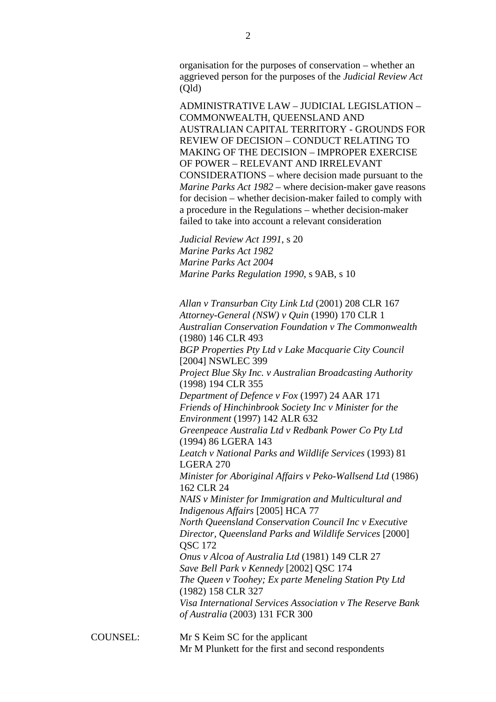organisation for the purposes of conservation – whether an aggrieved person for the purposes of the *Judicial Review Act* (Qld)

ADMINISTRATIVE LAW – JUDICIAL LEGISLATION – COMMONWEALTH, QUEENSLAND AND AUSTRALIAN CAPITAL TERRITORY - GROUNDS FOR REVIEW OF DECISION – CONDUCT RELATING TO MAKING OF THE DECISION – IMPROPER EXERCISE OF POWER – RELEVANT AND IRRELEVANT CONSIDERATIONS – where decision made pursuant to the *Marine Parks Act 1982* – where decision-maker gave reasons for decision – whether decision-maker failed to comply with a procedure in the Regulations – whether decision-maker failed to take into account a relevant consideration

*Judicial Review Act 1991*, s 20 *Marine Parks Act 1982 Marine Parks Act 2004 Marine Parks Regulation 1990*, s 9AB, s 10

*Allan v Transurban City Link Ltd* (2001) 208 CLR 167 *Attorney-General (NSW) v Quin* (1990) 170 CLR 1 *Australian Conservation Foundation v The Commonwealth*  (1980) 146 CLR 493 *BGP Properties Pty Ltd v Lake Macquarie City Council*  [2004] NSWLEC 399 *Project Blue Sky Inc. v Australian Broadcasting Authority*  (1998) 194 CLR 355 *Department of Defence v Fox* (1997) 24 AAR 171 *Friends of Hinchinbrook Society Inc v Minister for the Environment* (1997) 142 ALR 632 *Greenpeace Australia Ltd v Redbank Power Co Pty Ltd*  (1994) 86 LGERA 143 *Leatch v National Parks and Wildlife Services* (1993) 81 LGERA 270 *Minister for Aboriginal Affairs v Peko-Wallsend Ltd* (1986) 162 CLR 24 *NAIS v Minister for Immigration and Multicultural and Indigenous Affairs* [2005] HCA 77 *North Queensland Conservation Council Inc v Executive Director, Queensland Parks and Wildlife Services* [2000] QSC 172 *Onus v Alcoa of Australia Ltd* (1981) 149 CLR 27 *Save Bell Park v Kennedy* [2002] QSC 174 *The Queen v Toohey; Ex parte Meneling Station Pty Ltd*  (1982) 158 CLR 327 *Visa International Services Association v The Reserve Bank of Australia* (2003) 131 FCR 300

COUNSEL: Mr S Keim SC for the applicant Mr M Plunkett for the first and second respondents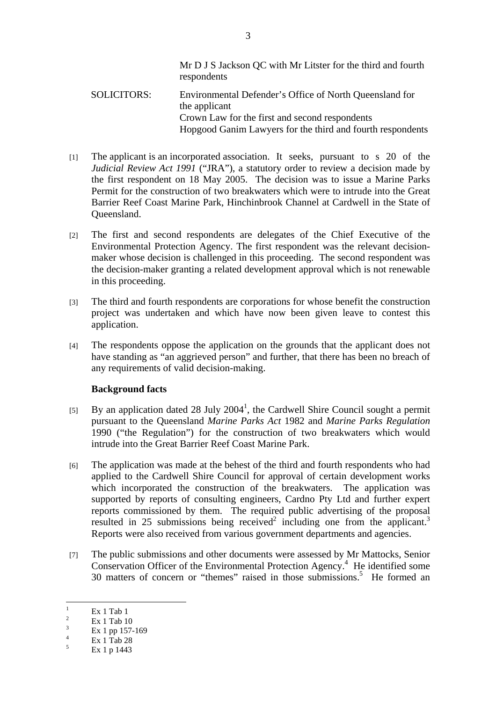Mr D J S Jackson QC with Mr Litster for the third and fourth respondents

- SOLICITORS: Environmental Defender's Office of North Queensland for the applicant Crown Law for the first and second respondents Hopgood Ganim Lawyers for the third and fourth respondents
- [1] The applicant is an incorporated association. It seeks, pursuant to s 20 of the *Judicial Review Act 1991* ("JRA"), a statutory order to review a decision made by the first respondent on 18 May 2005. The decision was to issue a Marine Parks Permit for the construction of two breakwaters which were to intrude into the Great Barrier Reef Coast Marine Park, Hinchinbrook Channel at Cardwell in the State of Queensland.
- [2] The first and second respondents are delegates of the Chief Executive of the Environmental Protection Agency. The first respondent was the relevant decisionmaker whose decision is challenged in this proceeding. The second respondent was the decision-maker granting a related development approval which is not renewable in this proceeding.
- [3] The third and fourth respondents are corporations for whose benefit the construction project was undertaken and which have now been given leave to contest this application.
- [4] The respondents oppose the application on the grounds that the applicant does not have standing as "an aggrieved person" and further, that there has been no breach of any requirements of valid decision-making.

## **Background facts**

- [5] By an application dated 28 July 2004<sup>1</sup>, the Cardwell Shire Council sought a permit pursuant to the Queensland *Marine Parks Act* 1982 and *Marine Parks Regulation* 1990 ("the Regulation") for the construction of two breakwaters which would intrude into the Great Barrier Reef Coast Marine Park.
- [6] The application was made at the behest of the third and fourth respondents who had applied to the Cardwell Shire Council for approval of certain development works which incorporated the construction of the breakwaters. The application was supported by reports of consulting engineers, Cardno Pty Ltd and further expert reports commissioned by them. The required public advertising of the proposal resulted in 25 submissions being received<sup>2</sup> including one from the applicant.<sup>3</sup> Reports were also received from various government departments and agencies.
- [7] The public submissions and other documents were assessed by Mr Mattocks, Senior Conservation Officer of the Environmental Protection Agency.<sup>4</sup> He identified some 30 matters of concern or "themes" raised in those submissions.<sup>5</sup> He formed an

 $\frac{1}{1}$  Ex 1 Tab 1  $\overline{2}$ 

Ex 1 Tab 10

<sup>3</sup> Ex 1 pp 157-169

<sup>4</sup> Ex 1 Tab 28

 $\leq$ Ex 1 p 1443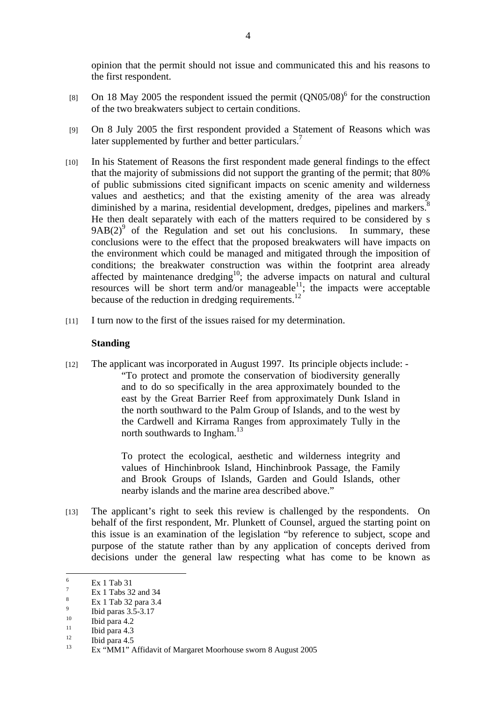opinion that the permit should not issue and communicated this and his reasons to the first respondent.

- [8] On 18 May 2005 the respondent issued the permit  $(QN05/08)^6$  for the construction of the two breakwaters subject to certain conditions.
- [9] On 8 July 2005 the first respondent provided a Statement of Reasons which was later supplemented by further and better particulars.<sup>7</sup>
- [10] In his Statement of Reasons the first respondent made general findings to the effect that the majority of submissions did not support the granting of the permit; that 80% of public submissions cited significant impacts on scenic amenity and wilderness values and aesthetics; and that the existing amenity of the area was already diminished by a marina, residential development, dredges, pipelines and markers.<sup>8</sup> He then dealt separately with each of the matters required to be considered by s  $9AB(2)$ <sup>9</sup> of the Regulation and set out his conclusions. In summary, these conclusions were to the effect that the proposed breakwaters will have impacts on the environment which could be managed and mitigated through the imposition of conditions; the breakwater construction was within the footprint area already affected by maintenance dredging<sup>10</sup>; the adverse impacts on natural and cultural resources will be short term and/or manageable<sup>11</sup>; the impacts were acceptable because of the reduction in dredging requirements.<sup>12</sup>
- [11] I turn now to the first of the issues raised for my determination.

## **Standing**

[12] The applicant was incorporated in August 1997. Its principle objects include: - "To protect and promote the conservation of biodiversity generally and to do so specifically in the area approximately bounded to the east by the Great Barrier Reef from approximately Dunk Island in the north southward to the Palm Group of Islands, and to the west by the Cardwell and Kirrama Ranges from approximately Tully in the north southwards to Ingham. $13$ 

> To protect the ecological, aesthetic and wilderness integrity and values of Hinchinbrook Island, Hinchinbrook Passage, the Family and Brook Groups of Islands, Garden and Gould Islands, other nearby islands and the marine area described above."

[13] The applicant's right to seek this review is challenged by the respondents. On behalf of the first respondent, Mr. Plunkett of Counsel, argued the starting point on this issue is an examination of the legislation "by reference to subject, scope and purpose of the statute rather than by any application of concepts derived from decisions under the general law respecting what has come to be known as

 6 Ex 1 Tab 31

<sup>7</sup> Ex 1 Tabs 32 and 34

<sup>8</sup> Ex 1 Tab 32 para 3.4 9

 $\frac{9}{10}$  Ibid paras 3.5-3.17

 $10$  Ibid para 4.2

 $\frac{11}{12}$  Ibid para 4.3

 $\frac{12}{13}$  Ibid para 4.5

Ex "MM1" Affidavit of Margaret Moorhouse sworn 8 August 2005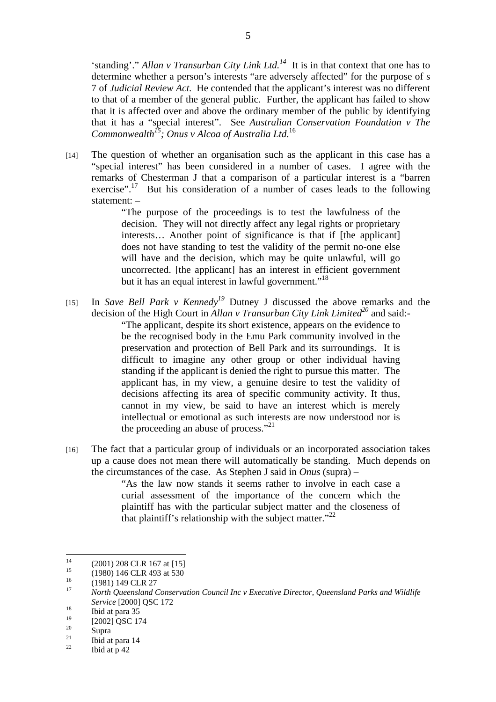'standing'." *Allan v Transurban City Link Ltd.14* It is in that context that one has to determine whether a person's interests "are adversely affected" for the purpose of s 7 of *Judicial Review Act.* He contended that the applicant's interest was no different to that of a member of the general public. Further, the applicant has failed to show that it is affected over and above the ordinary member of the public by identifying that it has a "special interest". See *Australian Conservation Foundation v The Commonwealth15; Onus v Alcoa of Australia Ltd*. 16

[14] The question of whether an organisation such as the applicant in this case has a "special interest" has been considered in a number of cases. I agree with the remarks of Chesterman J that a comparison of a particular interest is a "barren exercise".<sup>17</sup> But his consideration of a number of cases leads to the following statement: –

> "The purpose of the proceedings is to test the lawfulness of the decision. They will not directly affect any legal rights or proprietary interests… Another point of significance is that if [the applicant] does not have standing to test the validity of the permit no-one else will have and the decision, which may be quite unlawful, will go uncorrected. [the applicant] has an interest in efficient government but it has an equal interest in lawful government."<sup>18</sup>

- [15] In *Save Bell Park v Kennedy<sup>19</sup>* Dutney J discussed the above remarks and the decision of the High Court in *Allan v Transurban City Link Limited*<sup>20</sup> and said:-"The applicant, despite its short existence, appears on the evidence to be the recognised body in the Emu Park community involved in the preservation and protection of Bell Park and its surroundings. It is difficult to imagine any other group or other individual having standing if the applicant is denied the right to pursue this matter. The applicant has, in my view, a genuine desire to test the validity of decisions affecting its area of specific community activity. It thus, cannot in my view, be said to have an interest which is merely intellectual or emotional as such interests are now understood nor is the proceeding an abuse of process."<sup>21</sup>
- [16] The fact that a particular group of individuals or an incorporated association takes up a cause does not mean there will automatically be standing. Much depends on the circumstances of the case. As Stephen J said in *Onus* (supra) –

"As the law now stands it seems rather to involve in each case a curial assessment of the importance of the concern which the plaintiff has with the particular subject matter and the closeness of that plaintiff's relationship with the subject matter. $"^{22}$ 

 $14$ <sup>14</sup> (2001) 208 CLR 167 at [15]<br><sup>15</sup> (1980) 146 CLB 493 at 530

<sup>&</sup>lt;sup>15</sup> (1980) 146 CLR 493 at 530<br><sup>16</sup> (1981) 140 CLB 27

 $^{16}$  (1981) 149 CLR 27

<sup>17</sup> *North Queensland Conservation Council Inc v Executive Director, Queensland Parks and Wildlife Service* [2000] **QSC** 172<br> **Ibid at para 35** 

 $^{19}_{20}$  [2002] QSC 174

 $\frac{20}{21}$  Supra

 $\frac{21}{22}$  Ibid at para 14

Ibid at p 42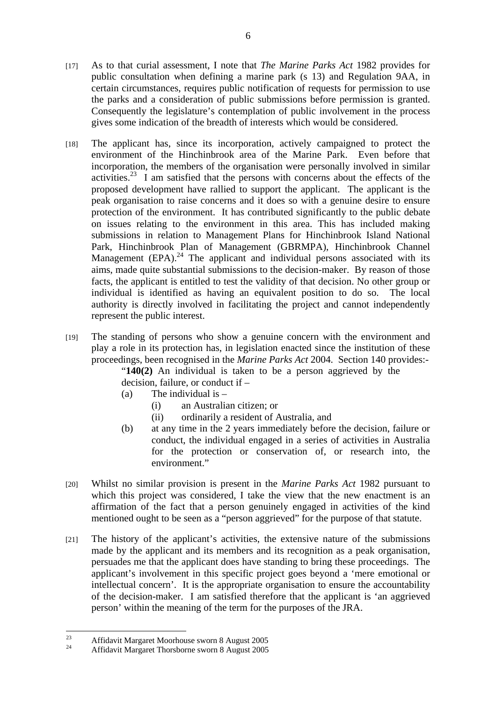- [17] As to that curial assessment, I note that *The Marine Parks Act* 1982 provides for public consultation when defining a marine park (s 13) and Regulation 9AA, in certain circumstances, requires public notification of requests for permission to use the parks and a consideration of public submissions before permission is granted. Consequently the legislature's contemplation of public involvement in the process gives some indication of the breadth of interests which would be considered.
- [18] The applicant has, since its incorporation, actively campaigned to protect the environment of the Hinchinbrook area of the Marine Park. Even before that incorporation, the members of the organisation were personally involved in similar activities.<sup>23</sup> I am satisfied that the persons with concerns about the effects of the proposed development have rallied to support the applicant. The applicant is the peak organisation to raise concerns and it does so with a genuine desire to ensure protection of the environment. It has contributed significantly to the public debate on issues relating to the environment in this area. This has included making submissions in relation to Management Plans for Hinchinbrook Island National Park, Hinchinbrook Plan of Management (GBRMPA), Hinchinbrook Channel Management (EPA).<sup>24</sup> The applicant and individual persons associated with its aims, made quite substantial submissions to the decision-maker. By reason of those facts, the applicant is entitled to test the validity of that decision. No other group or individual is identified as having an equivalent position to do so. The local authority is directly involved in facilitating the project and cannot independently represent the public interest.
- [19] The standing of persons who show a genuine concern with the environment and play a role in its protection has, in legislation enacted since the institution of these proceedings, been recognised in the *Marine Parks Act* 2004. Section 140 provides:-

"**140(2)** An individual is taken to be a person aggrieved by the decision, failure, or conduct if –

- (a) The individual is  $-$ 
	- (i) an Australian citizen; or
	- (ii) ordinarily a resident of Australia, and
- (b) at any time in the 2 years immediately before the decision, failure or conduct, the individual engaged in a series of activities in Australia for the protection or conservation of, or research into, the environment."
- [20] Whilst no similar provision is present in the *Marine Parks Act* 1982 pursuant to which this project was considered. I take the view that the new enactment is an affirmation of the fact that a person genuinely engaged in activities of the kind mentioned ought to be seen as a "person aggrieved" for the purpose of that statute.
- [21] The history of the applicant's activities, the extensive nature of the submissions made by the applicant and its members and its recognition as a peak organisation, persuades me that the applicant does have standing to bring these proceedings. The applicant's involvement in this specific project goes beyond a 'mere emotional or intellectual concern'. It is the appropriate organisation to ensure the accountability of the decision-maker. I am satisfied therefore that the applicant is 'an aggrieved person' within the meaning of the term for the purposes of the JRA.

 $23$  $^{23}$  Affidavit Margaret Moorhouse sworn 8 August 2005

<sup>24</sup> Affidavit Margaret Thorsborne sworn 8 August 2005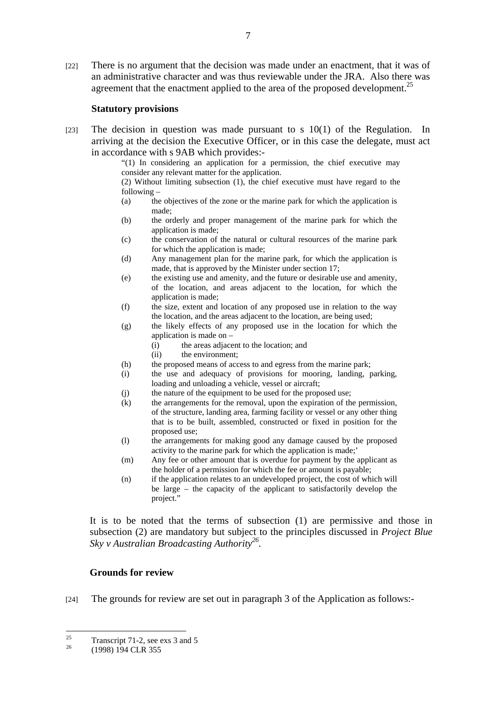[22] There is no argument that the decision was made under an enactment, that it was of an administrative character and was thus reviewable under the JRA. Also there was agreement that the enactment applied to the area of the proposed development.<sup>25</sup>

#### **Statutory provisions**

[23] The decision in question was made pursuant to s  $10(1)$  of the Regulation. In arriving at the decision the Executive Officer, or in this case the delegate, must act in accordance with s 9AB which provides:-

"(1) In considering an application for a permission, the chief executive may consider any relevant matter for the application.

(2) Without limiting subsection (1), the chief executive must have regard to the following –

- (a) the objectives of the zone or the marine park for which the application is made;
- (b) the orderly and proper management of the marine park for which the application is made;
- (c) the conservation of the natural or cultural resources of the marine park for which the application is made;
- (d) Any management plan for the marine park, for which the application is made, that is approved by the Minister under section 17;
- (e) the existing use and amenity, and the future or desirable use and amenity, of the location, and areas adjacent to the location, for which the application is made;
- (f) the size, extent and location of any proposed use in relation to the way the location, and the areas adjacent to the location, are being used;
- (g) the likely effects of any proposed use in the location for which the application is made on –
	- (i) the areas adjacent to the location; and
	- (ii) the environment;
- (h) the proposed means of access to and egress from the marine park;
- (i) the use and adequacy of provisions for mooring, landing, parking, loading and unloading a vehicle, vessel or aircraft;
- (j) the nature of the equipment to be used for the proposed use;
- (k) the arrangements for the removal, upon the expiration of the permission, of the structure, landing area, farming facility or vessel or any other thing that is to be built, assembled, constructed or fixed in position for the proposed use;
- (l) the arrangements for making good any damage caused by the proposed activity to the marine park for which the application is made;'
- (m) Any fee or other amount that is overdue for payment by the applicant as the holder of a permission for which the fee or amount is payable;
- (n) if the application relates to an undeveloped project, the cost of which will be large – the capacity of the applicant to satisfactorily develop the project."

 It is to be noted that the terms of subsection (1) are permissive and those in subsection (2) are mandatory but subject to the principles discussed in *Project Blue Sky v Australian Broadcasting Authority26.* 

## **Grounds for review**

[24] The grounds for review are set out in paragraph 3 of the Application as follows:-

 $25$  $\frac{25}{26}$  Transcript 71-2, see exs 3 and 5

<sup>26 (1998) 194</sup> CLR 355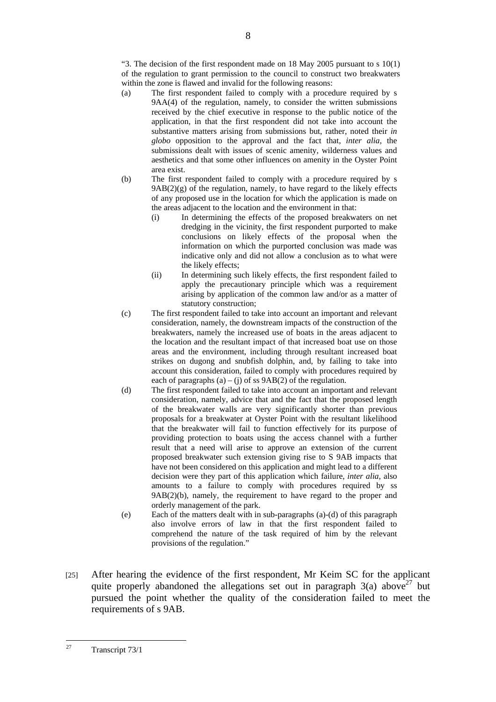"3. The decision of the first respondent made on  $18$  May  $2005$  pursuant to s  $10(1)$ of the regulation to grant permission to the council to construct two breakwaters within the zone is flawed and invalid for the following reasons:

- (a) The first respondent failed to comply with a procedure required by s 9AA(4) of the regulation, namely, to consider the written submissions received by the chief executive in response to the public notice of the application, in that the first respondent did not take into account the substantive matters arising from submissions but, rather, noted their *in globo* opposition to the approval and the fact that, *inter alia,* the submissions dealt with issues of scenic amenity, wilderness values and aesthetics and that some other influences on amenity in the Oyster Point area exist.
- (b) The first respondent failed to comply with a procedure required by s  $9AB(2)(g)$  of the regulation, namely, to have regard to the likely effects of any proposed use in the location for which the application is made on the areas adjacent to the location and the environment in that:
	- (i) In determining the effects of the proposed breakwaters on net dredging in the vicinity, the first respondent purported to make conclusions on likely effects of the proposal when the information on which the purported conclusion was made was indicative only and did not allow a conclusion as to what were the likely effects;
	- (ii) In determining such likely effects, the first respondent failed to apply the precautionary principle which was a requirement arising by application of the common law and/or as a matter of statutory construction;
- (c) The first respondent failed to take into account an important and relevant consideration, namely, the downstream impacts of the construction of the breakwaters, namely the increased use of boats in the areas adjacent to the location and the resultant impact of that increased boat use on those areas and the environment, including through resultant increased boat strikes on dugong and snubfish dolphin, and, by failing to take into account this consideration, failed to comply with procedures required by each of paragraphs (a) – (j) of ss  $9AB(2)$  of the regulation.
- (d) The first respondent failed to take into account an important and relevant consideration, namely, advice that and the fact that the proposed length of the breakwater walls are very significantly shorter than previous proposals for a breakwater at Oyster Point with the resultant likelihood that the breakwater will fail to function effectively for its purpose of providing protection to boats using the access channel with a further result that a need will arise to approve an extension of the current proposed breakwater such extension giving rise to S 9AB impacts that have not been considered on this application and might lead to a different decision were they part of this application which failure, *inter alia*, also amounts to a failure to comply with procedures required by ss 9AB(2)(b), namely, the requirement to have regard to the proper and orderly management of the park.
- (e) Each of the matters dealt with in sub-paragraphs (a)-(d) of this paragraph also involve errors of law in that the first respondent failed to comprehend the nature of the task required of him by the relevant provisions of the regulation."
- [25] After hearing the evidence of the first respondent, Mr Keim SC for the applicant quite properly abandoned the allegations set out in paragraph  $3(a)$  above<sup>27</sup> but pursued the point whether the quality of the consideration failed to meet the requirements of s 9AB.

 $27$ Transcript 73/1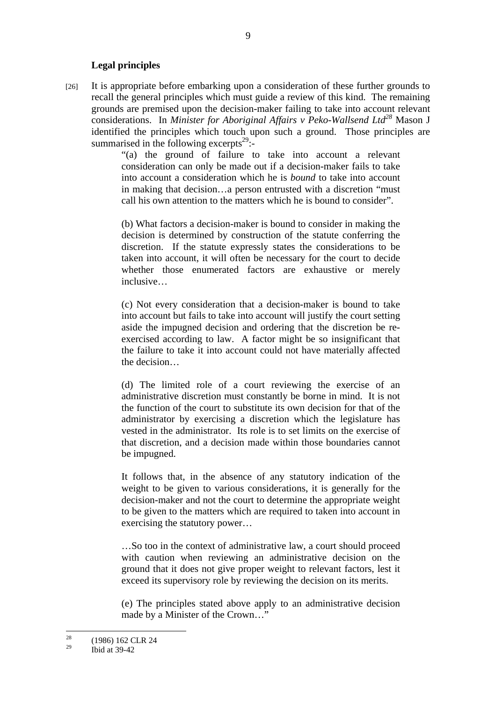#### **Legal principles**

[26] It is appropriate before embarking upon a consideration of these further grounds to recall the general principles which must guide a review of this kind. The remaining grounds are premised upon the decision-maker failing to take into account relevant considerations. In *Minister for Aboriginal Affairs v Peko-Wallsend Ltd*<sup>28</sup> Mason J identified the principles which touch upon such a ground. Those principles are summarised in the following excerpts<sup>29</sup>:-

> "(a) the ground of failure to take into account a relevant consideration can only be made out if a decision-maker fails to take into account a consideration which he is *bound* to take into account in making that decision…a person entrusted with a discretion "must call his own attention to the matters which he is bound to consider".

> (b) What factors a decision-maker is bound to consider in making the decision is determined by construction of the statute conferring the discretion. If the statute expressly states the considerations to be taken into account, it will often be necessary for the court to decide whether those enumerated factors are exhaustive or merely inclusive…

> (c) Not every consideration that a decision-maker is bound to take into account but fails to take into account will justify the court setting aside the impugned decision and ordering that the discretion be reexercised according to law. A factor might be so insignificant that the failure to take it into account could not have materially affected the decision…

> (d) The limited role of a court reviewing the exercise of an administrative discretion must constantly be borne in mind. It is not the function of the court to substitute its own decision for that of the administrator by exercising a discretion which the legislature has vested in the administrator. Its role is to set limits on the exercise of that discretion, and a decision made within those boundaries cannot be impugned.

> It follows that, in the absence of any statutory indication of the weight to be given to various considerations, it is generally for the decision-maker and not the court to determine the appropriate weight to be given to the matters which are required to taken into account in exercising the statutory power…

> …So too in the context of administrative law, a court should proceed with caution when reviewing an administrative decision on the ground that it does not give proper weight to relevant factors, lest it exceed its supervisory role by reviewing the decision on its merits.

> (e) The principles stated above apply to an administrative decision made by a Minister of the Crown…"

 $28$  $\frac{28}{29}$  (1986) 162 CLR 24

<sup>29</sup> Ibid at 39-42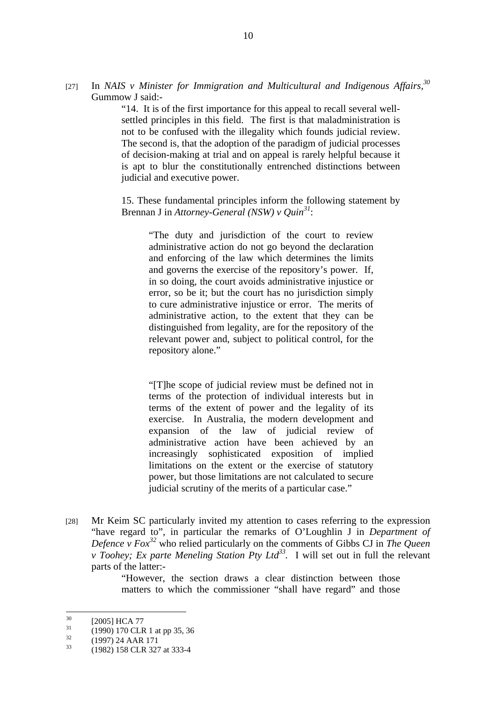[27] In *NAIS v Minister for Immigration and Multicultural and Indigenous Affairs*,<sup>30</sup> Gummow J said:-

> "14. It is of the first importance for this appeal to recall several wellsettled principles in this field. The first is that maladministration is not to be confused with the illegality which founds judicial review. The second is, that the adoption of the paradigm of judicial processes of decision-making at trial and on appeal is rarely helpful because it is apt to blur the constitutionally entrenched distinctions between judicial and executive power.

> 15. These fundamental principles inform the following statement by Brennan J in *Attorney-General (NSW) v Quin<sup>31</sup>*:

 "The duty and jurisdiction of the court to review administrative action do not go beyond the declaration and enforcing of the law which determines the limits and governs the exercise of the repository's power. If, in so doing, the court avoids administrative injustice or error, so be it; but the court has no jurisdiction simply to cure administrative injustice or error. The merits of administrative action, to the extent that they can be distinguished from legality, are for the repository of the relevant power and, subject to political control, for the repository alone."

 "[T]he scope of judicial review must be defined not in terms of the protection of individual interests but in terms of the extent of power and the legality of its exercise. In Australia, the modern development and expansion of the law of judicial review of administrative action have been achieved by an increasingly sophisticated exposition of implied limitations on the extent or the exercise of statutory power, but those limitations are not calculated to secure judicial scrutiny of the merits of a particular case."

[28] Mr Keim SC particularly invited my attention to cases referring to the expression "have regard to", in particular the remarks of O'Loughlin J in *Department of Defence v Fox*<sup>32</sup> who relied particularly on the comments of Gibbs CJ in *The Queen v Toohey; Ex parte Meneling Station Pty Ltd33.* I will set out in full the relevant parts of the latter:-

> "However, the section draws a clear distinction between those matters to which the commissioner "shall have regard" and those

 $30<sup>2</sup>$  $^{30}$  [2005] HCA 77

 $^{31}$  (1990) 170 CLR 1 at pp 35, 36

 $\frac{32}{33}$  (1997) 24 AAR 171

<sup>33 (1982) 158</sup> CLR 327 at 333-4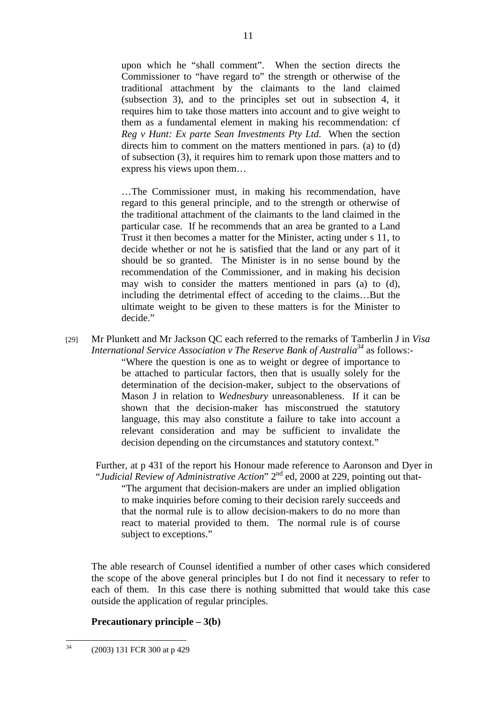upon which he "shall comment". When the section directs the Commissioner to "have regard to" the strength or otherwise of the traditional attachment by the claimants to the land claimed (subsection 3), and to the principles set out in subsection 4, it requires him to take those matters into account and to give weight to them as a fundamental element in making his recommendation: cf *Reg v Hunt: Ex parte Sean Investments Pty Ltd*. When the section directs him to comment on the matters mentioned in pars. (a) to (d) of subsection (3), it requires him to remark upon those matters and to express his views upon them…

…The Commissioner must, in making his recommendation, have regard to this general principle, and to the strength or otherwise of the traditional attachment of the claimants to the land claimed in the particular case. If he recommends that an area be granted to a Land Trust it then becomes a matter for the Minister, acting under s 11, to decide whether or not he is satisfied that the land or any part of it should be so granted. The Minister is in no sense bound by the recommendation of the Commissioner, and in making his decision may wish to consider the matters mentioned in pars (a) to (d), including the detrimental effect of acceding to the claims…But the ultimate weight to be given to these matters is for the Minister to decide."

[29] Mr Plunkett and Mr Jackson QC each referred to the remarks of Tamberlin J in *Visa International Service Association v The Reserve Bank of Australia*<sup>34</sup> as follows:-"Where the question is one as to weight or degree of importance to be attached to particular factors, then that is usually solely for the determination of the decision-maker, subject to the observations of Mason J in relation to *Wednesbury* unreasonableness. If it can be shown that the decision-maker has misconstrued the statutory language, this may also constitute a failure to take into account a relevant consideration and may be sufficient to invalidate the decision depending on the circumstances and statutory context."

 Further, at p 431 of the report his Honour made reference to Aaronson and Dyer in "Judicial Review of Administrative Action" 2<sup>nd</sup> ed, 2000 at 229, pointing out that-

"The argument that decision-makers are under an implied obligation to make inquiries before coming to their decision rarely succeeds and that the normal rule is to allow decision-makers to do no more than react to material provided to them. The normal rule is of course subject to exceptions."

The able research of Counsel identified a number of other cases which considered the scope of the above general principles but I do not find it necessary to refer to each of them. In this case there is nothing submitted that would take this case outside the application of regular principles.

## **Precautionary principle – 3(b)**

 $34$ 34 (2003) 131 FCR 300 at p 429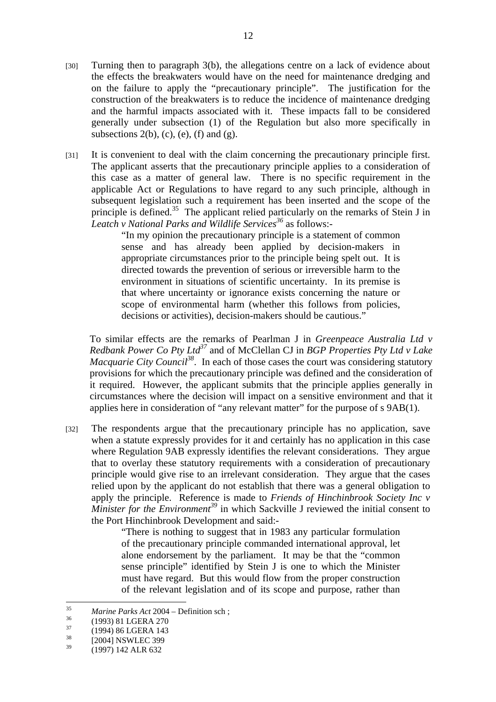- [30] Turning then to paragraph 3(b), the allegations centre on a lack of evidence about the effects the breakwaters would have on the need for maintenance dredging and on the failure to apply the "precautionary principle". The justification for the construction of the breakwaters is to reduce the incidence of maintenance dredging and the harmful impacts associated with it. These impacts fall to be considered generally under subsection (1) of the Regulation but also more specifically in subsections  $2(b)$ , (c), (e), (f) and (g).
- [31] It is convenient to deal with the claim concerning the precautionary principle first. The applicant asserts that the precautionary principle applies to a consideration of this case as a matter of general law. There is no specific requirement in the applicable Act or Regulations to have regard to any such principle, although in subsequent legislation such a requirement has been inserted and the scope of the principle is defined.35 The applicant relied particularly on the remarks of Stein J in *Leatch v National Parks and Wildlife Services36* as follows:-

"In my opinion the precautionary principle is a statement of common sense and has already been applied by decision-makers in appropriate circumstances prior to the principle being spelt out. It is directed towards the prevention of serious or irreversible harm to the environment in situations of scientific uncertainty. In its premise is that where uncertainty or ignorance exists concerning the nature or scope of environmental harm (whether this follows from policies, decisions or activities), decision-makers should be cautious."

 To similar effects are the remarks of Pearlman J in *Greenpeace Australia Ltd v Redbank Power Co Pty Ltd*<sup>37</sup> and of McClellan CJ in *BGP Properties Pty Ltd v Lake Macquarie City Council*<sup>38</sup>. In each of those cases the court was considering statutory provisions for which the precautionary principle was defined and the consideration of it required. However, the applicant submits that the principle applies generally in circumstances where the decision will impact on a sensitive environment and that it applies here in consideration of "any relevant matter" for the purpose of s 9AB(1).

[32] The respondents argue that the precautionary principle has no application, save when a statute expressly provides for it and certainly has no application in this case where Regulation 9AB expressly identifies the relevant considerations. They argue that to overlay these statutory requirements with a consideration of precautionary principle would give rise to an irrelevant consideration. They argue that the cases relied upon by the applicant do not establish that there was a general obligation to apply the principle. Reference is made to *Friends of Hinchinbrook Society Inc v Minister for the Environment*<sup>39</sup> in which Sackville J reviewed the initial consent to the Port Hinchinbrook Development and said:-

> "There is nothing to suggest that in 1983 any particular formulation of the precautionary principle commanded international approval, let alone endorsement by the parliament. It may be that the "common sense principle" identified by Stein J is one to which the Minister must have regard. But this would flow from the proper construction of the relevant legislation and of its scope and purpose, rather than

 $35$ <sup>35</sup> *Marine Parks Act* 2004 – Definition sch;<br>
(1993) 81 LGERA 270<br>
(1993) 82 LGERA 270

 $^{37}$  (1994) 86 LGERA 143

 $^{38}$  [2004] NSWLEC 399

<sup>39 (1997) 142</sup> ALR 632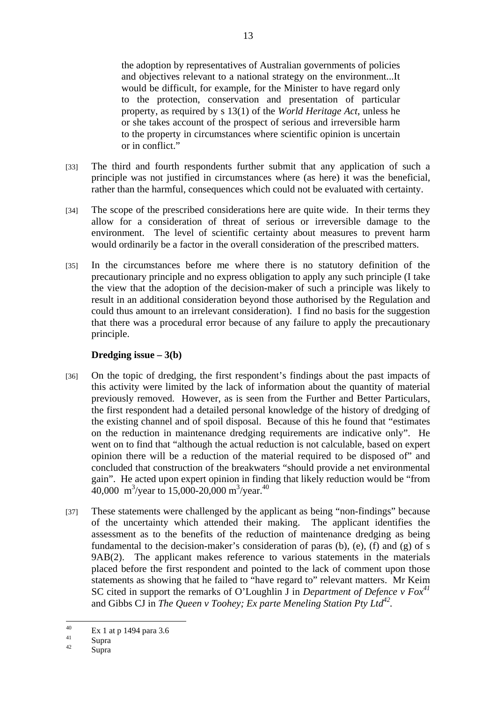the adoption by representatives of Australian governments of policies and objectives relevant to a national strategy on the environment...It would be difficult, for example, for the Minister to have regard only to the protection, conservation and presentation of particular property, as required by s 13(1) of the *World Heritage Act*, unless he or she takes account of the prospect of serious and irreversible harm to the property in circumstances where scientific opinion is uncertain or in conflict."

- [33] The third and fourth respondents further submit that any application of such a principle was not justified in circumstances where (as here) it was the beneficial, rather than the harmful, consequences which could not be evaluated with certainty.
- [34] The scope of the prescribed considerations here are quite wide. In their terms they allow for a consideration of threat of serious or irreversible damage to the environment. The level of scientific certainty about measures to prevent harm would ordinarily be a factor in the overall consideration of the prescribed matters.
- [35] In the circumstances before me where there is no statutory definition of the precautionary principle and no express obligation to apply any such principle (I take the view that the adoption of the decision-maker of such a principle was likely to result in an additional consideration beyond those authorised by the Regulation and could thus amount to an irrelevant consideration). I find no basis for the suggestion that there was a procedural error because of any failure to apply the precautionary principle.

## **Dredging issue – 3(b)**

- [36] On the topic of dredging, the first respondent's findings about the past impacts of this activity were limited by the lack of information about the quantity of material previously removed. However, as is seen from the Further and Better Particulars, the first respondent had a detailed personal knowledge of the history of dredging of the existing channel and of spoil disposal. Because of this he found that "estimates on the reduction in maintenance dredging requirements are indicative only". He went on to find that "although the actual reduction is not calculable, based on expert opinion there will be a reduction of the material required to be disposed of" and concluded that construction of the breakwaters "should provide a net environmental gain". He acted upon expert opinion in finding that likely reduction would be "from 40,000 m<sup>3</sup>/year to 15,000-20,000 m<sup>3</sup>/year.<sup>40</sup>
- [37] These statements were challenged by the applicant as being "non-findings" because of the uncertainty which attended their making. The applicant identifies the assessment as to the benefits of the reduction of maintenance dredging as being fundamental to the decision-maker's consideration of paras (b), (e), (f) and (g) of s 9AB(2). The applicant makes reference to various statements in the materials placed before the first respondent and pointed to the lack of comment upon those statements as showing that he failed to "have regard to" relevant matters. Mr Keim SC cited in support the remarks of O'Loughlin J in *Department of Defence v Fox41* and Gibbs CJ in *The Queen v Toohey; Ex parte Meneling Station Pty Ltd*<sup>42</sup>.

 $40$  $\frac{40}{41}$  Ex 1 at p 1494 para 3.6

 $\frac{41}{42}$  Supra

Supra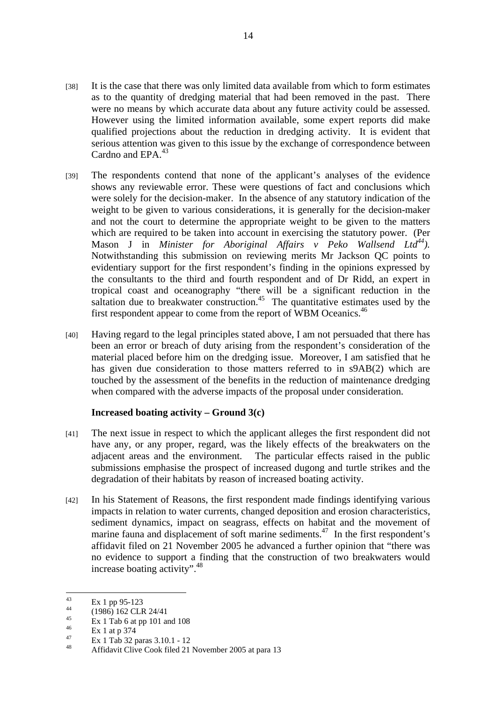- [38] It is the case that there was only limited data available from which to form estimates as to the quantity of dredging material that had been removed in the past. There were no means by which accurate data about any future activity could be assessed. However using the limited information available, some expert reports did make qualified projections about the reduction in dredging activity. It is evident that serious attention was given to this issue by the exchange of correspondence between Cardno and EPA.<sup>43</sup>
- [39] The respondents contend that none of the applicant's analyses of the evidence shows any reviewable error. These were questions of fact and conclusions which were solely for the decision-maker. In the absence of any statutory indication of the weight to be given to various considerations, it is generally for the decision-maker and not the court to determine the appropriate weight to be given to the matters which are required to be taken into account in exercising the statutory power. (Per Mason J in *Minister for Aboriginal Affairs v Peko Wallsend Ltd*<sup>44</sup>). Notwithstanding this submission on reviewing merits Mr Jackson QC points to evidentiary support for the first respondent's finding in the opinions expressed by the consultants to the third and fourth respondent and of Dr Ridd, an expert in tropical coast and oceanography "there will be a significant reduction in the saltation due to breakwater construction.<sup>45</sup> The quantitative estimates used by the first respondent appear to come from the report of WBM Oceanics.<sup>46</sup>
- [40] Having regard to the legal principles stated above, I am not persuaded that there has been an error or breach of duty arising from the respondent's consideration of the material placed before him on the dredging issue. Moreover, I am satisfied that he has given due consideration to those matters referred to in s9AB(2) which are touched by the assessment of the benefits in the reduction of maintenance dredging when compared with the adverse impacts of the proposal under consideration.

# **Increased boating activity – Ground 3(c)**

- [41] The next issue in respect to which the applicant alleges the first respondent did not have any, or any proper, regard, was the likely effects of the breakwaters on the adjacent areas and the environment. The particular effects raised in the public submissions emphasise the prospect of increased dugong and turtle strikes and the degradation of their habitats by reason of increased boating activity.
- [42] In his Statement of Reasons, the first respondent made findings identifying various impacts in relation to water currents, changed deposition and erosion characteristics, sediment dynamics, impact on seagrass, effects on habitat and the movement of marine fauna and displacement of soft marine sediments.<sup> $47$ </sup> In the first respondent's affidavit filed on 21 November 2005 he advanced a further opinion that "there was no evidence to support a finding that the construction of two breakwaters would increase boating activity".<sup>48</sup>

 $43$  $\frac{43}{44}$  Ex 1 pp 95-123

 $^{44}$  (1986) 162 CLR 24/41

 $\frac{45}{46}$  Ex 1 Tab 6 at pp 101 and 108

 $\frac{46}{47}$  Ex 1 at p 374

 $\frac{47}{48}$  Ex 1 Tab 32 paras 3.10.1 - 12

Affidavit Clive Cook filed 21 November 2005 at para 13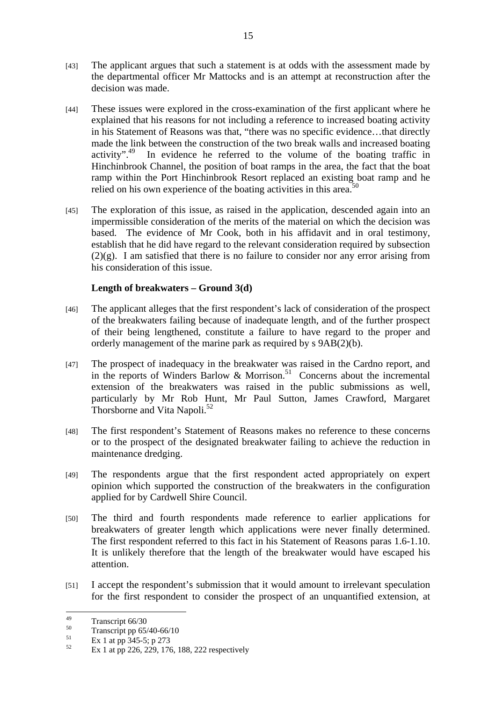- [43] The applicant argues that such a statement is at odds with the assessment made by the departmental officer Mr Mattocks and is an attempt at reconstruction after the decision was made.
- [44] These issues were explored in the cross-examination of the first applicant where he explained that his reasons for not including a reference to increased boating activity in his Statement of Reasons was that, "there was no specific evidence…that directly made the link between the construction of the two break walls and increased boating activity".<sup>49</sup> In evidence he referred to the volume of the boating traffic in In evidence he referred to the volume of the boating traffic in Hinchinbrook Channel, the position of boat ramps in the area, the fact that the boat ramp within the Port Hinchinbrook Resort replaced an existing boat ramp and he relied on his own experience of the boating activities in this area.<sup>50</sup>
- [45] The exploration of this issue, as raised in the application, descended again into an impermissible consideration of the merits of the material on which the decision was based. The evidence of Mr Cook, both in his affidavit and in oral testimony, establish that he did have regard to the relevant consideration required by subsection (2)(g). I am satisfied that there is no failure to consider nor any error arising from his consideration of this issue.

# **Length of breakwaters – Ground 3(d)**

- [46] The applicant alleges that the first respondent's lack of consideration of the prospect of the breakwaters failing because of inadequate length, and of the further prospect of their being lengthened, constitute a failure to have regard to the proper and orderly management of the marine park as required by s 9AB(2)(b).
- [47] The prospect of inadequacy in the breakwater was raised in the Cardno report, and in the reports of Winders Barlow  $\&$  Morrison.<sup>51</sup> Concerns about the incremental extension of the breakwaters was raised in the public submissions as well, particularly by Mr Rob Hunt, Mr Paul Sutton, James Crawford, Margaret Thorsborne and Vita Napoli.<sup>52</sup>
- [48] The first respondent's Statement of Reasons makes no reference to these concerns or to the prospect of the designated breakwater failing to achieve the reduction in maintenance dredging.
- [49] The respondents argue that the first respondent acted appropriately on expert opinion which supported the construction of the breakwaters in the configuration applied for by Cardwell Shire Council.
- [50] The third and fourth respondents made reference to earlier applications for breakwaters of greater length which applications were never finally determined. The first respondent referred to this fact in his Statement of Reasons paras 1.6-1.10. It is unlikely therefore that the length of the breakwater would have escaped his attention.
- [51] I accept the respondent's submission that it would amount to irrelevant speculation for the first respondent to consider the prospect of an unquantified extension, at

 $\overline{49}$  $\frac{49}{50}$  Transcript 66/30

 $50$  Transcript pp 65/40-66/10

 $51$  Ex 1 at pp 345-5; p 273

Ex 1 at pp 226, 229, 176, 188, 222 respectively